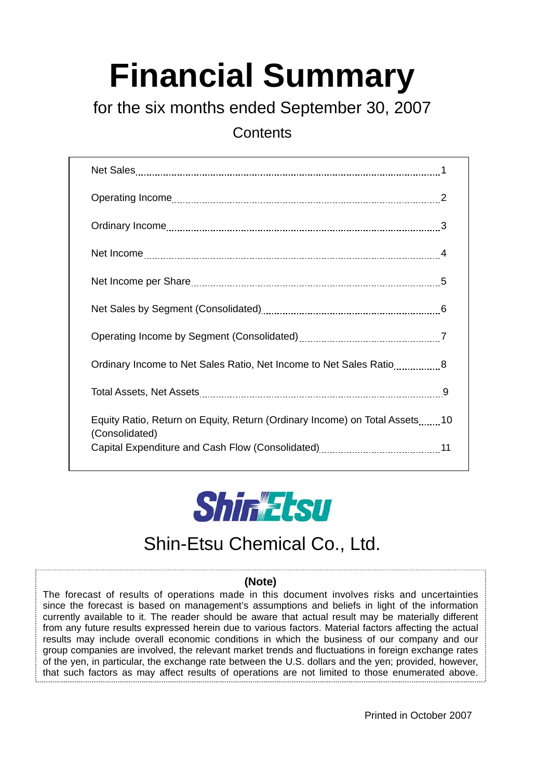# **Financial Summary**

for the six months ended September 30, 2007

**Contents** 

| Ordinary Income to Net Sales Ratio, Net Income to Net Sales Ratio8                           |  |
|----------------------------------------------------------------------------------------------|--|
|                                                                                              |  |
| Equity Ratio, Return on Equity, Return (Ordinary Income) on Total Assets10<br>(Consolidated) |  |
|                                                                                              |  |



## Shin-Etsu Chemical Co., Ltd.

#### **(Note)**

The forecast of results of operations made in this document involves risks and uncertainties since the forecast is based on management's assumptions and beliefs in light of the information currently available to it. The reader should be aware that actual result may be materially different from any future results expressed herein due to various factors. Material factors affecting the actual results may include overall economic conditions in which the business of our company and our group companies are involved, the relevant market trends and fluctuations in foreign exchange rates of the yen, in particular, the exchange rate between the U.S. dollars and the yen; provided, however, that such factors as may affect results of operations are not limited to those enumerated above.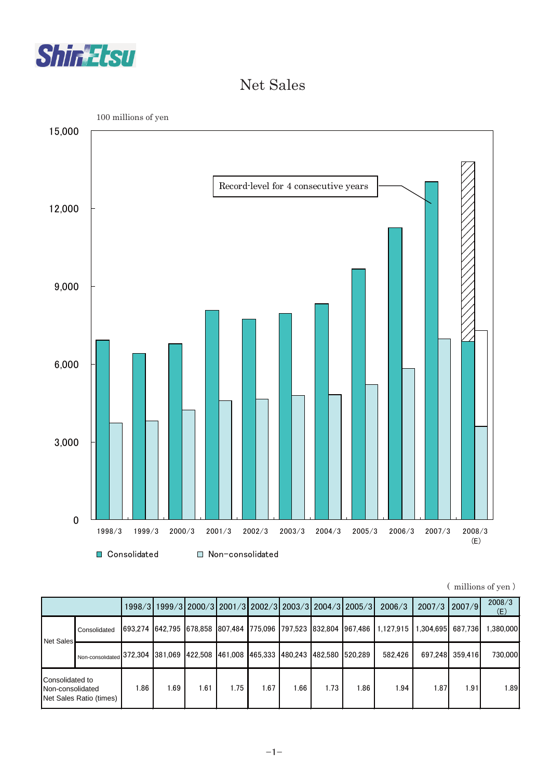

#### Net Sales



| (millions of yen) |  |
|-------------------|--|
|                   |  |

|                                                                |                                                                                  |      |      |      |      |      |      |      | 1998/3 1999/3 2000/3 2001/3 2002/3 2003/3 2004/3 2005/3 | 2006/3                                                                             | 2007/3 2007/9     |                 | 2008/3<br>(E) |
|----------------------------------------------------------------|----------------------------------------------------------------------------------|------|------|------|------|------|------|------|---------------------------------------------------------|------------------------------------------------------------------------------------|-------------------|-----------------|---------------|
| Net Sales                                                      | Consolidated                                                                     |      |      |      |      |      |      |      |                                                         | 693.274  642.795  678.858  807.484  775.096  797.523  832.804  967.486   1.127.915 | 1.304.695 687.736 |                 | 1.380.000     |
|                                                                | Non-consolidated 372,304 381,069 422,508 461,008 465,333 480,243 482,580 520,289 |      |      |      |      |      |      |      |                                                         | 582.426                                                                            |                   | 697.248 359.416 | 730,000       |
| Consolidated to<br>Non-consolidated<br>Net Sales Ratio (times) |                                                                                  | 1.86 | 1.69 | 1.61 | 1.75 | 1.67 | 1.66 | 1.73 | 1.86                                                    | 1.94                                                                               | 1.87              | .91             | 1.89          |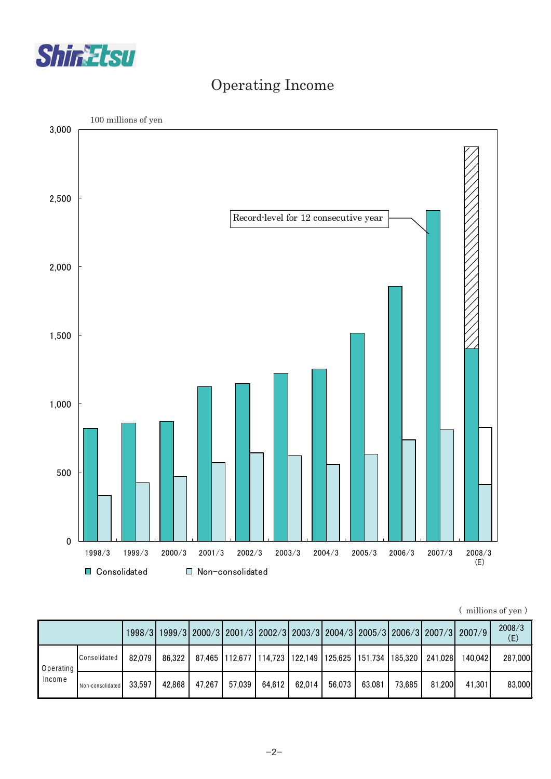

### Operating Income



|  | (millions of yen) |  |  |
|--|-------------------|--|--|
|--|-------------------|--|--|

|                     |                  |        |        |        |        |        |                                                                    |        |        |        |         | 1998/3 1999/3 2000/3 2001/3 2002/3 2003/3 2004/3 2005/3 2006/3 2007/3 2007/9 | 2008/3<br>(E) |
|---------------------|------------------|--------|--------|--------|--------|--------|--------------------------------------------------------------------|--------|--------|--------|---------|------------------------------------------------------------------------------|---------------|
| Operating<br>Income | Consolidated     | 82.079 | 86.322 |        |        |        | 87,465   112,677   114,723   122,149   125,625   151,734   185,320 |        |        |        | 241.028 | 140.042                                                                      | 287,000       |
|                     | Non-consolidated | 33.597 | 42.868 | 47.267 | 57,039 | 64,612 | 62,014                                                             | 56.073 | 63.081 | 73.685 | 81.200  | 41.301                                                                       | 83,000        |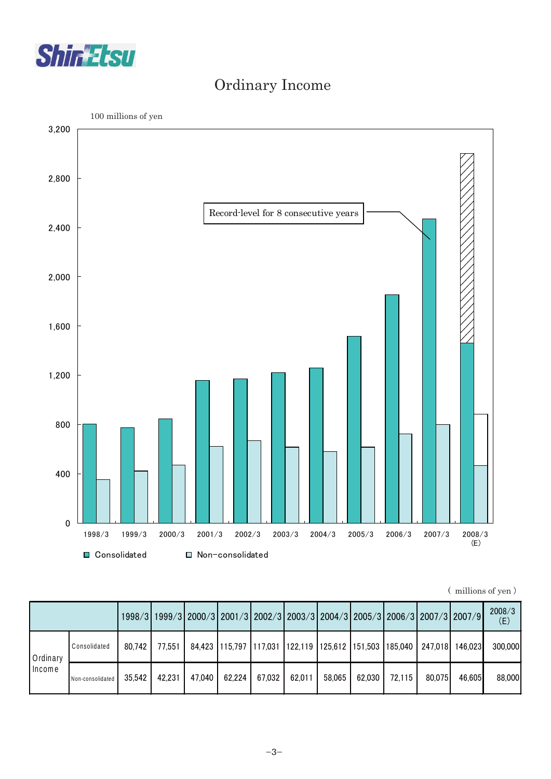

#### Ordinary Income



| (millions of yen) |  |
|-------------------|--|
|                   |  |

|                    |                  |        |        |        | 1998/3 1999/3 2000/3 2001/3 2002/3 2003/3 2004/3 2005/3 2006/3 2007/3 2007/9 |        |        |        |        |        |         |         | 2008/3<br>(E) |
|--------------------|------------------|--------|--------|--------|------------------------------------------------------------------------------|--------|--------|--------|--------|--------|---------|---------|---------------|
| Ordinary<br>Income | Consolidated     | 80.742 | 77.551 |        | 84,423   115,797   117,031   122,119   125,612   151,503   185,040           |        |        |        |        |        | 247,018 | 146.023 | 300,000       |
|                    | Non-consolidated | 35.542 | 42,231 | 47.040 | 62,224                                                                       | 67.032 | 62.011 | 58.065 | 62,030 | 72.115 | 80.075  | 46.605  | 88,000        |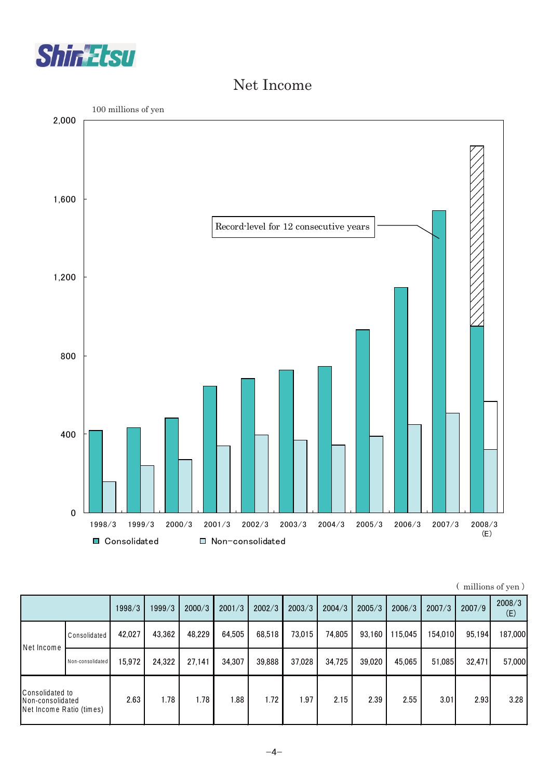

#### Net Income



| (millions of yen) |  |
|-------------------|--|
|                   |  |

|                                                                 |                  | 1998/3 | 1999/3 | 2000/3 | 2001/3 | 2002/3 | 2003/3 | 2004/3 | 2005/3 | 2006/3  | 2007/3  | 2007/9 | 2008/3<br>(E) |
|-----------------------------------------------------------------|------------------|--------|--------|--------|--------|--------|--------|--------|--------|---------|---------|--------|---------------|
| Net Income                                                      | Consolidated     | 42.027 | 43,362 | 48.229 | 64,505 | 68,518 | 73.015 | 74.805 | 93.160 | 115,045 | 154.010 | 95,194 | 187,000       |
|                                                                 | Non-consolidated | 15.972 | 24,322 | 27.141 | 34.307 | 39,888 | 37.028 | 34.725 | 39.020 | 45.065  | 51.085  | 32,471 | 57,000        |
| Consolidated to<br>Non-consolidated<br>Net Income Ratio (times) |                  | 2.63   | 1.78   | 1.78   | 1.88   | 1.72   | .97    | 2.15   | 2.39   | 2.55    | 3.01    | 2.93   | 3.28          |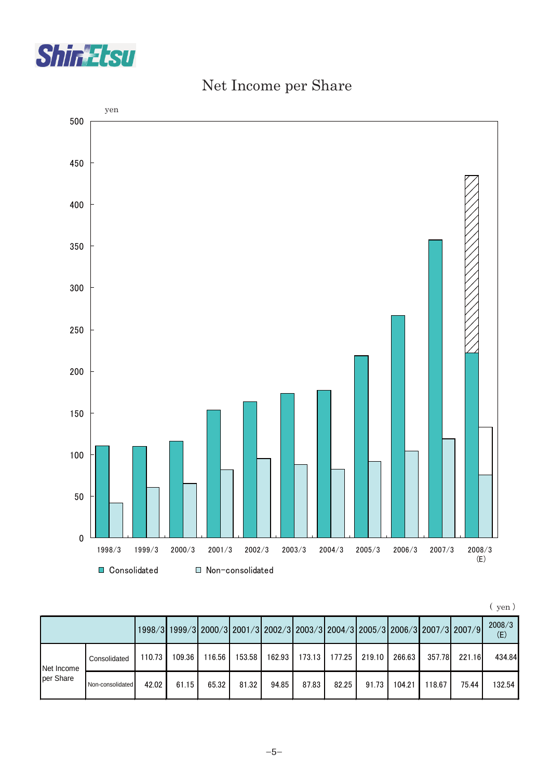



#### Net Income per Share

|--|--|--|--|

|            |                  |        |        |        |        |        |                         |        |        |        |        | 1998/3   1999/3   2000/3   2001/3   2002/3   2003/3   2004/3   2005/3   2006/3   2007/3   2007/9 | 2008/3<br>(E) |
|------------|------------------|--------|--------|--------|--------|--------|-------------------------|--------|--------|--------|--------|--------------------------------------------------------------------------------------------------|---------------|
| Net Income | Consolidated     | 110.73 | 109.36 | 116.56 | 153.58 | 162.93 | $173.13$ $\blacksquare$ | 177.25 | 219.10 | 266.63 | 357.78 | 221.16                                                                                           | 434.84        |
| per Share  | Non-consolidated | 42.02  | 61.15  | 65.32  | 81.32  | 94.85  | 87.83                   | 82.25  | 91.73  | 104.21 | 118.67 | 75.44                                                                                            | 132.54        |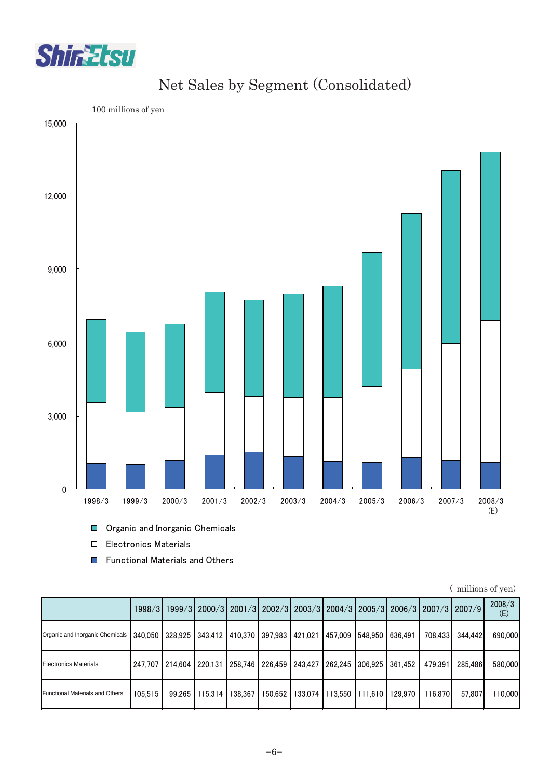



#### Net Sales by Segment (Consolidated)

**Organic and Inorganic Chemicals** 

Electronics Materials

■ Functional Materials and Others

|                                        |         |                         |                                                                         |         |         |         |                                                 |         |         | 1998/3 1999/3 2000/3 2001/3 2002/3 2003/3 2004/3 2005/3 2006/3 2007/3 2007/9 | 2008/3<br>(E) |
|----------------------------------------|---------|-------------------------|-------------------------------------------------------------------------|---------|---------|---------|-------------------------------------------------|---------|---------|------------------------------------------------------------------------------|---------------|
| Organic and Inorganic Chemicals        |         |                         | 340,050 328,925 343,412 410,370 397,983 421,021 457,009 548,950 636,491 |         |         |         |                                                 |         | 708.433 | 344.442                                                                      | 690,000       |
| <b>Electronics Materials</b>           |         | 247.707 214.604 220.131 |                                                                         |         |         |         | 258.746 226.459 243.427 262.245 306.925 361.452 |         | 479.391 | 285.486                                                                      | 580,000       |
| <b>Functional Materials and Others</b> | 105.515 | 99.265                  | $115.314$                                                               | 138.367 | 150.652 | 133.074 | 113,550 1111,610                                | 129.970 | 116,870 | 57.807                                                                       | 110.000       |

( millions of yen)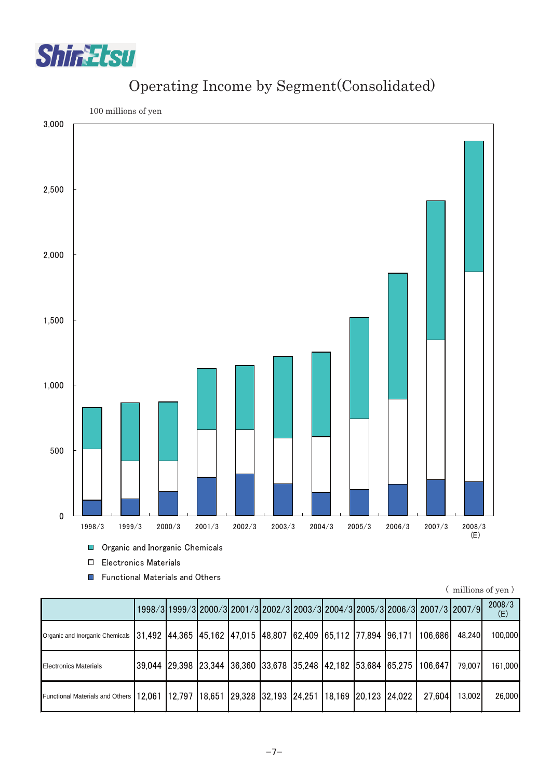

#### Operating Income by Segment(Consolidated)



■ Functional Materials and Others

| (millions of yen) |  |  |  |
|-------------------|--|--|--|
|-------------------|--|--|--|

|                                        |  |                                                                |  |  | 1998/3 1999/3 2000/3 2001/3 2002/3 2003/3 2004/3 2005/3 2006/3 2007/3 2007/9    |        | 2008/3<br>(E) |
|----------------------------------------|--|----------------------------------------------------------------|--|--|---------------------------------------------------------------------------------|--------|---------------|
| Organic and Inorganic Chemicals        |  |                                                                |  |  | 31,492  44,365  45,162  47,015  48,807  62,409  65,112  77,894  96,171  106,686 | 48.240 | 100,000       |
| <b>Electronics Materials</b>           |  |                                                                |  |  | 39,044 29,398 23,344 36,360 33,678 35,248 42,182 53,684 65,275 106,647          | 79.007 | 161,000       |
| <b>Functional Materials and Others</b> |  | 12,061 12,797 18,651 29,328 32,193 24,251 18,169 20,123 24,022 |  |  | 27,604                                                                          | 13.002 | 26,000        |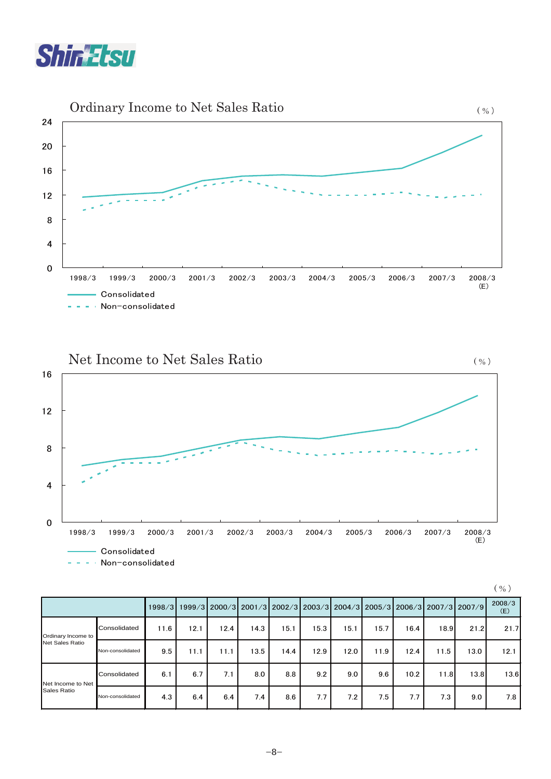





|                                       |                  |      |      |      |                                                                              |      |      |      |      |      |      |      | $\left(\begin{array}{c} 0/2 \end{array}\right)$ |
|---------------------------------------|------------------|------|------|------|------------------------------------------------------------------------------|------|------|------|------|------|------|------|-------------------------------------------------|
|                                       |                  |      |      |      | 1998/3 1999/3 2000/3 2001/3 2002/3 2003/3 2004/3 2005/3 2006/3 2007/3 2007/9 |      |      |      |      |      |      |      | 2008/3<br>(E)                                   |
| Ordinary Income to<br>Net Sales Ratio | Consolidated     | 11.6 | 12.1 | 12.4 | 14.3                                                                         | 15.1 | 15.3 | 15.1 | 15.7 | 16.4 | 18.9 | 21.2 | 21.7                                            |
|                                       | Non-consolidated | 9.5  | 11.1 | 11.1 | 13.5                                                                         | 14.4 | 12.9 | 12.0 | 11.9 | 12.4 | 11.5 | 13.0 | 12.1                                            |
| Net Income to Net<br>Sales Ratio      | Consolidated     | 6.1  | 6.7  | 7.1  | 8.0                                                                          | 8.8  | 9.2  | 9.0  | 9.6  | 10.2 | 11.8 | 13.8 | 13.6                                            |
|                                       | Non-consolidated | 4.3  | 6.4  | 6.4  | 7.4                                                                          | 8.6  | 7.7  | 7.2  | 7.5  | 7.7  | 7.3  | 9.0  | 7.8                                             |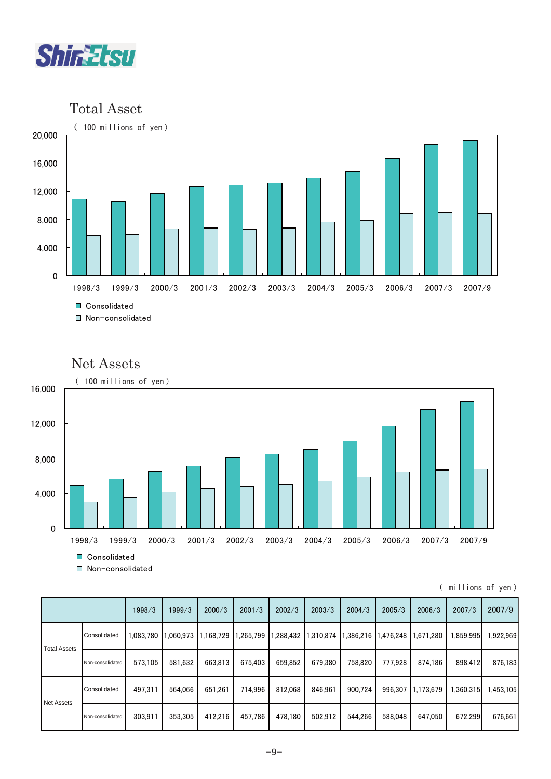

Total Asset



#### Net Assets



<sup>■</sup> Non-consolidated

|  |  | ( millions of yen) |  |
|--|--|--------------------|--|
|  |  |                    |  |

|                     |                  | 1998/3    | 1999/3   | 2000/3    | 2001/3   | 2002/3   | 2003/3    | 2004/3   | 2005/3   | 2006/3    | 2007/3   | 2007/9   |
|---------------------|------------------|-----------|----------|-----------|----------|----------|-----------|----------|----------|-----------|----------|----------|
| <b>Total Assets</b> | Consolidated     | 1,083,780 | ,060,973 | 1,168,729 | .265,799 | .288,432 | 1,310,874 | ,386,216 | .476,248 | 671,280   | ,859,995 | .922.969 |
|                     | Non-consolidated | 573.105   | 581,632  | 663,813   | 675.403  | 659.852  | 679.380   | 758.820  | 777.928  | 874.186   | 898.412  | 876,183  |
| Net Assets          | Consolidated     | 497.311   | 564.066  | 651,261   | 714.996  | 812.068  | 846.961   | 900.724  | 996,307  | 1,173,679 | .360.315 | .453,105 |
|                     | Non-consolidated | 303.911   | 353,305  | 412,216   | 457.786  | 478.180  | 502,912   | 544.266  | 588,048  | 647,050   | 672.299  | 676,661  |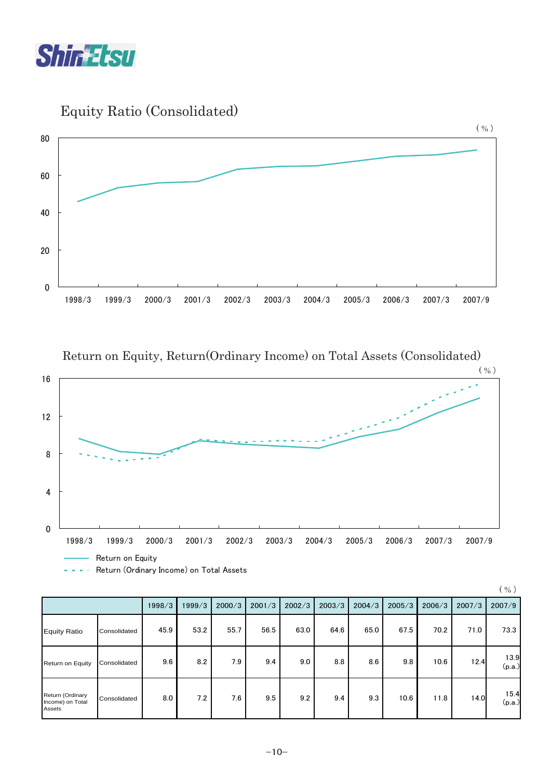

Equity Ratio (Consolidated)



Return on Equity, Return(Ordinary Income) on Total Assets (Consolidated)



|                                                | $\left( \begin{array}{c} 0 \\ 0 \end{array} \right)$ |        |        |        |        |        |        |        |        |        |        |                |
|------------------------------------------------|------------------------------------------------------|--------|--------|--------|--------|--------|--------|--------|--------|--------|--------|----------------|
|                                                |                                                      | 1998/3 | 1999/3 | 2000/3 | 2001/3 | 2002/3 | 2003/3 | 2004/3 | 2005/3 | 2006/3 | 2007/3 | 2007/9         |
| <b>Equity Ratio</b>                            | Consolidated                                         | 45.9   | 53.2   | 55.7   | 56.5   | 63.0   | 64.6   | 65.0   | 67.5   | 70.2   | 71.0   | 73.3           |
| <b>Return on Equity</b>                        | Consolidated                                         | 9.6    | 8.2    | 7.9    | 9.4    | 9.0    | 8.8    | 8.6    | 9.8    | 10.6   | 12.4   | 13.9<br>(p.a.) |
| Return (Ordinary<br>Income) on Total<br>Assets | Consolidated                                         | 8.0    | 7.2    | 7.6    | 9.5    | 9.2    | 9.4    | 9.3    | 10.6   | 11.8   | 14.0   | 15.4<br>(p.a.) |